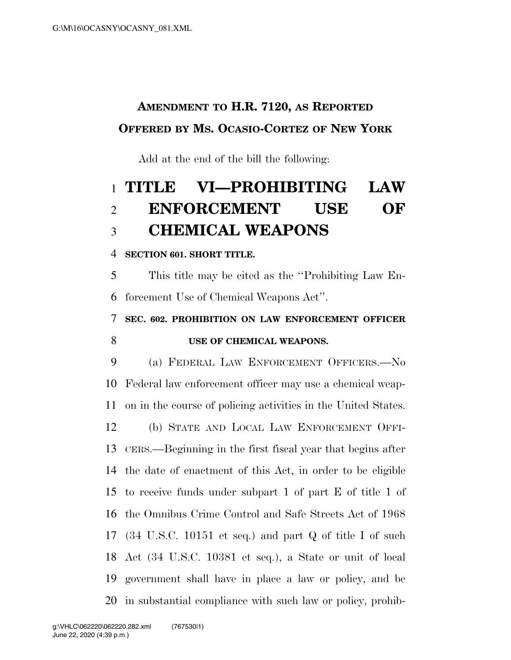## **AMENDMENT TO H.R. 7120, AS REPORTED OFFERED BY MS. OCASIO-CORTEZ OF NEW YORK**

Add at the end of the bill the following:

# **TITLE VI—PROHIBITING LAW ENFORCEMENT USE OF CHEMICAL WEAPONS**

**SECTION 601. SHORT TITLE.** 

 This title may be cited as the ''Prohibiting Law En-forcement Use of Chemical Weapons Act''.

 **SEC. 602. PROHIBITION ON LAW ENFORCEMENT OFFICER USE OF CHEMICAL WEAPONS.** 

 (a) FEDERAL LAW ENFORCEMENT OFFICERS.—No Federal law enforcement officer may use a chemical weap- on in the course of policing activities in the United States. (b) STATE AND LOCAL LAW ENFORCEMENT OFFI- CERS.—Beginning in the first fiscal year that begins after the date of enactment of this Act, in order to be eligible to receive funds under subpart 1 of part E of title 1 of the Omnibus Crime Control and Safe Streets Act of 1968 (34 U.S.C. 10151 et seq.) and part Q of title I of such Act (34 U.S.C. 10381 et seq.), a State or unit of local government shall have in place a law or policy, and be in substantial compliance with such law or policy, prohib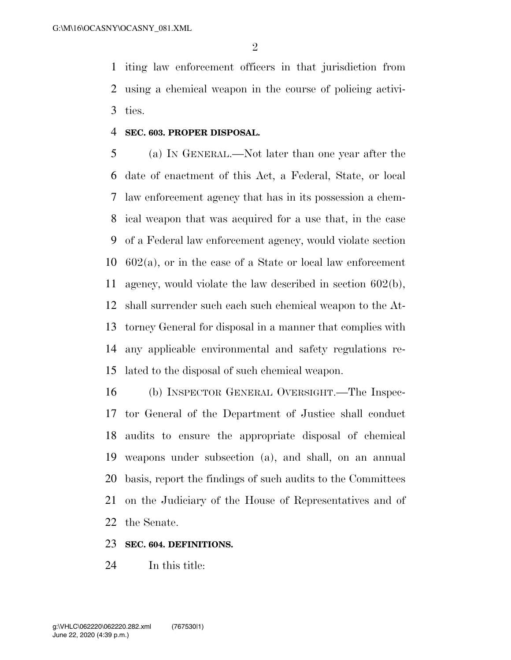iting law enforcement officers in that jurisdiction from using a chemical weapon in the course of policing activi-ties.

#### **SEC. 603. PROPER DISPOSAL.**

 (a) IN GENERAL.—Not later than one year after the date of enactment of this Act, a Federal, State, or local law enforcement agency that has in its possession a chem- ical weapon that was acquired for a use that, in the case of a Federal law enforcement agency, would violate section 602(a), or in the case of a State or local law enforcement agency, would violate the law described in section 602(b), shall surrender such each such chemical weapon to the At- torney General for disposal in a manner that complies with any applicable environmental and safety regulations re-lated to the disposal of such chemical weapon.

 (b) INSPECTOR GENERAL OVERSIGHT.—The Inspec- tor General of the Department of Justice shall conduct audits to ensure the appropriate disposal of chemical weapons under subsection (a), and shall, on an annual basis, report the findings of such audits to the Committees on the Judiciary of the House of Representatives and of the Senate.

### **SEC. 604. DEFINITIONS.**

In this title: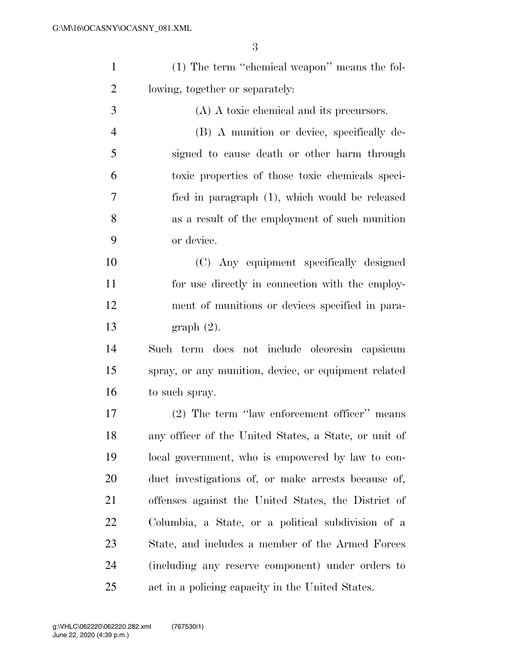| $\mathbf{1}$   | (1) The term "chemical weapon" means the fol-         |
|----------------|-------------------------------------------------------|
| $\overline{2}$ | lowing, together or separately:                       |
| 3              | (A) A toxic chemical and its precursors.              |
| $\overline{4}$ | (B) A munition or device, specifically de-            |
| 5              | signed to cause death or other harm through           |
| 6              | toxic properties of those toxic chemicals speci-      |
| 7              | fied in paragraph (1), which would be released        |
| 8              | as a result of the employment of such munition        |
| 9              | or device.                                            |
| 10             | (C) Any equipment specifically designed               |
| 11             | for use directly in connection with the employ-       |
| 12             | ment of munitions or devices specified in para-       |
| 13             | graph(2).                                             |
| 14             | Such term does not include oleoresin capsicum         |
| 15             | spray, or any munition, device, or equipment related  |
| 16             | to such spray.                                        |
| 17             | (2) The term "law enforcement officer" means          |
| 18             | any officer of the United States, a State, or unit of |
| 19             | local government, who is empowered by law to con-     |
| 20             | duct investigations of, or make arrests because of,   |
| 21             | offenses against the United States, the District of   |
| 22             | Columbia, a State, or a political subdivision of a    |
|                |                                                       |

 State, and includes a member of the Armed Forces (including any reserve component) under orders to act in a policing capacity in the United States.